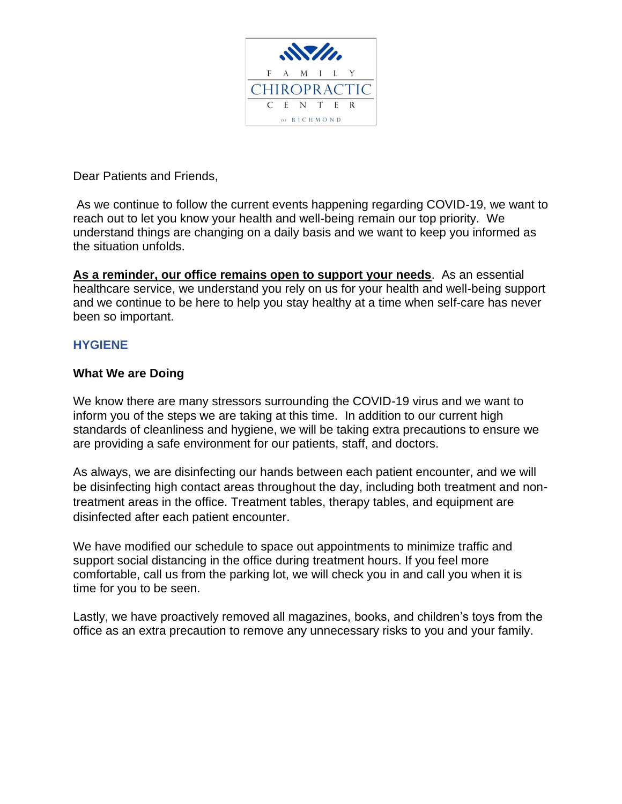

Dear Patients and Friends,

As we continue to follow the current events happening regarding COVID-19, we want to reach out to let you know your health and well-being remain our top priority. We understand things are changing on a daily basis and we want to keep you informed as the situation unfolds.

**As a reminder, our office remains open to support your needs**. As an essential healthcare service, we understand you rely on us for your health and well-being support and we continue to be here to help you stay healthy at a time when self-care has never been so important.

## **HYGIENE**

## **What We are Doing**

We know there are many stressors surrounding the COVID-19 virus and we want to inform you of the steps we are taking at this time. In addition to our current high standards of cleanliness and hygiene, we will be taking extra precautions to ensure we are providing a safe environment for our patients, staff, and doctors.

As always, we are disinfecting our hands between each patient encounter, and we will be disinfecting high contact areas throughout the day, including both treatment and nontreatment areas in the office. Treatment tables, therapy tables, and equipment are disinfected after each patient encounter.

We have modified our schedule to space out appointments to minimize traffic and support social distancing in the office during treatment hours. If you feel more comfortable, call us from the parking lot, we will check you in and call you when it is time for you to be seen.

Lastly, we have proactively removed all magazines, books, and children's toys from the office as an extra precaution to remove any unnecessary risks to you and your family.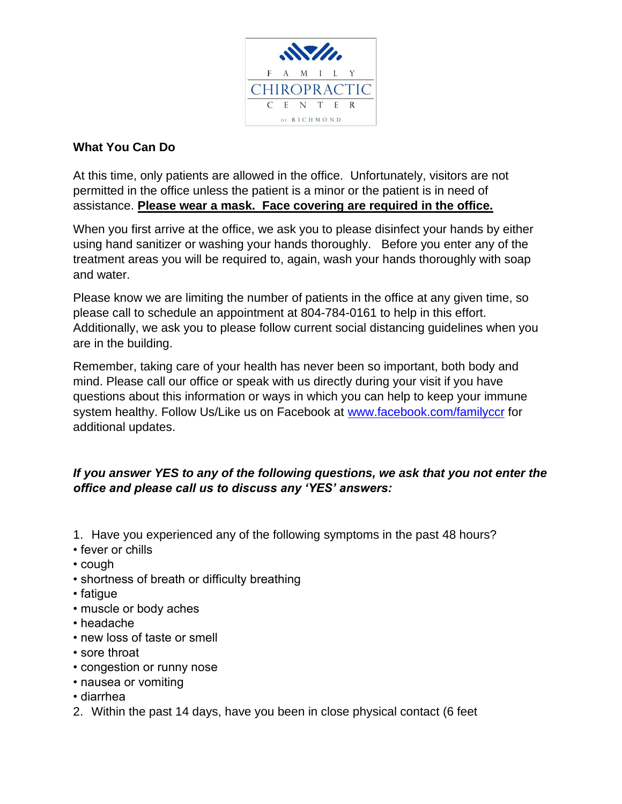

## **What You Can Do**

At this time, only patients are allowed in the office. Unfortunately, visitors are not permitted in the office unless the patient is a minor or the patient is in need of assistance. **Please wear a mask. Face covering are required in the office.**

When you first arrive at the office, we ask you to please disinfect your hands by either using hand sanitizer or washing your hands thoroughly. Before you enter any of the treatment areas you will be required to, again, wash your hands thoroughly with soap and water.

Please know we are limiting the number of patients in the office at any given time, so please call to schedule an appointment at 804-784-0161 to help in this effort. Additionally, we ask you to please follow current social distancing guidelines when you are in the building.

Remember, taking care of your health has never been so important, both body and mind. Please call our office or speak with us directly during your visit if you have questions about this information or ways in which you can help to keep your immune system healthy. Follow Us/Like us on Facebook at [www.facebook.com/familyccr](http://www.facebook.com/familyccr) for additional updates.

## *If you answer YES to any of the following questions, we ask that you not enter the office and please call us to discuss any 'YES' answers:*

- 1. Have you experienced any of the following symptoms in the past 48 hours?
- fever or chills
- cough
- shortness of breath or difficulty breathing
- fatigue
- muscle or body aches
- headache
- new loss of taste or smell
- sore throat
- congestion or runny nose
- nausea or vomiting
- diarrhea
- 2. Within the past 14 days, have you been in close physical contact (6 feet